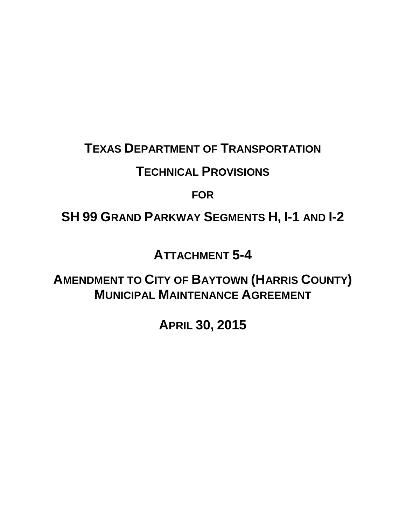### **TEXAS DEPARTMENT OF TRANSPORTATION**

### **TECHNICAL PROVISIONS**

**FOR**

# **SH 99 GRAND PARKWAY SEGMENTS H, I-1 AND I-2**

# **ATTACHMENT 5-4**

**AMENDMENT TO CITY OF BAYTOWN (HARRIS COUNTY) MUNICIPAL MAINTENANCE AGREEMENT**

**APRIL 30, 2015**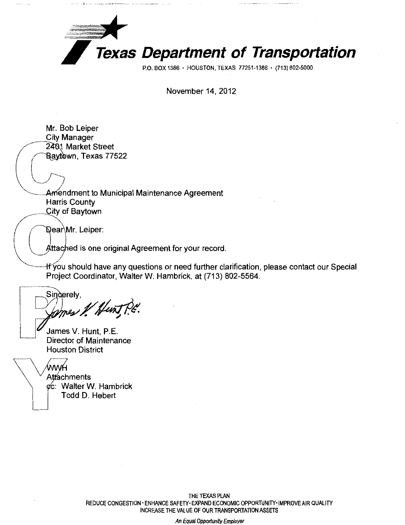

November 14, 2012

Mr. Bob Leiper City Manager<br>2401 Market Street ~Market Street l /i wn, Texas 77522 Amendment to Municipal Maintenance Agreement Harris County City of Baytown Dear Mr. Leiper:<br>Attached is one ttached is one original Agreement for your record. If you should have any questions or need further clarification, please contact our Special Project Coordinator, Walter W. Hambrick, at (713) 802-5564. Singerely, mes 1 Hunt P.C. James V. Hunt, P.E. Director of Maintenance Houston District ,<br>ww. **Attachments** ¢c: Walter W. Hambrick Todd D. Hebert

THE TEXAS PLAN REDUCE CONGESTION ·ENHANCE SAFETY· EXPAND ECONOMIC OPPORTUNITY·IMPROVE AIR QUALITY INCREASE THE VALUE OF OUR TRANSPORTATION ASSETS

An Equal Opportunity Employer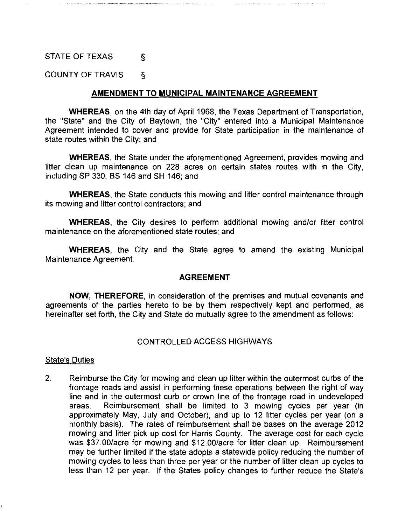### STATE OF TEXAS §

COUNTY OF TRAVIS §

#### **AMENDMENT TO MUNICIPAL MAINTENANCE AGREEMENT**

**WHEREAS,** on the 4th day of April 1968, the Texas Department of Transportation, the "State" and the City of Baytown, the "City" entered into a Municipal Maintenance Agreement intended to cover and provide for State participation in the maintenance of state routes within the City; and

**WHEREAS,** the State under the aforementioned Agreement, provides mowing and litter clean up maintenance on 228 acres on certain states routes with in the City, including SP 330, BS 146 and SH 146; and

**WHEREAS,** the State conducts this mowing and litter control maintenance through its mowing and litter control contractors; and

**WHEREAS,** the City desires to perform additional mowing and/or litter control maintenance on the aforementioned state routes; and

**WHEREAS,** the City and the State agree to amend the existing Municipal Maintenance Agreement.

#### **AGREEMENT**

**NOW, THEREFORE,** in consideration of the premises and mutual covenants and agreements of the parties hereto to be by them respectively kept and performed, as hereinafter set forth, the City and State do mutually agree to the amendment as follows:

#### CONTROLLED ACCESS HIGHWAYS

#### State's Duties

2. Reimburse the City for mowing and clean up litter within the outermost curbs of the frontage roads and assist in performing these operations between the right of way line and in the outermost curb or crown line of the frontage road in undeveloped areas. Reimbursement shall be limited to 3 mowing cycles per year (in approximately May, July and October), and up to 12 litter cycles per year (on a monthly basis). The rates of reimbursement shall be bases on the average 2012 mowing and litter pick up cost for Harris County. The average cost for each cycle was \$37.00/acre for mowing and \$12.00/acre for litter clean up. Reimbursement may be further limited if the state adopts a statewide policy reducing the number of mowing cycles to less than three per year or the number of litter clean up cycles to less than 12 per year. If the States policy changes to further reduce the State's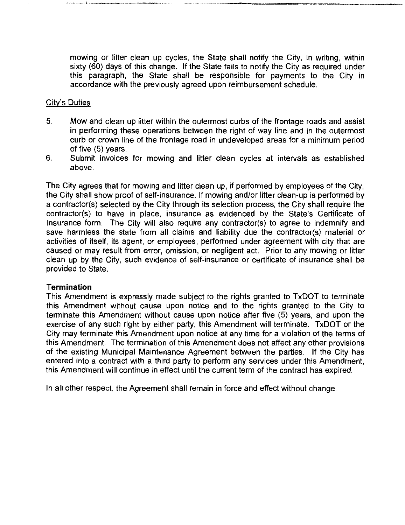mowing or litter clean up cycles, the State shall notify the City, in writing, within sixty (60) days of this change. If the State fails to notify the City as required under this paragraph, the State shall be responsible for payments to the City in accordance with the previously agreed upon reimbursement schedule.

-------------------·

#### City's Duties

- 5. Mow and clean up litter within the outermost curbs of the frontage roads and assist in performing these operations between the right of way line and in the outermost curb or crown line of the frontage road in undeveloped areas for a minimum period of five (5) years.
- 6. Submit invoices for mowing and litter clean cycles at intervals as established above.

The City agrees that for mowing and litter clean up, if performed by employees of the City, the City shall show proof of self-insurance. If mowing and/or litter clean-up is performed by a contractor(s) selected by the City through its selection process; the City shall require the contractor(s) to have in place, insurance as evidenced by the State's Certificate of Insurance form. The City will also require any contractor(s) to agree to indemnify and save harmless the state from all claims and liability due the contractor(s) material or activities of itself, its agent, or employees, performed under agreement with city that are caused or may result from error, omission, or negligent act. Prior to any mowing or litter clean up by the City, such evidence of self-insurance or certificate of insurance shall be provided to State.

#### **Termination**

This Amendment is expressly made subject to the rights granted to TxDOT to terminate this Amendment without cause upon notice and to the rights granted to the City to terminate this Amendment without cause upon notice after five (5) years, and upon the exercise of any such right by either party, this Amendment will terminate. TxDOT or the City may terminate this Amendment upon notice at any time for a violation of the terms of this Amendment. The termination of this Amendment does not affect any other provisions of the existing Municipal Maintenance Agreement between the parties. If the City has entered into a contract with a third party to perform any services under this Amendment, this Amendment will continue in effect until the current term of the contract has expired.

In all other respect, the Agreement shall remain in force and effect without change.